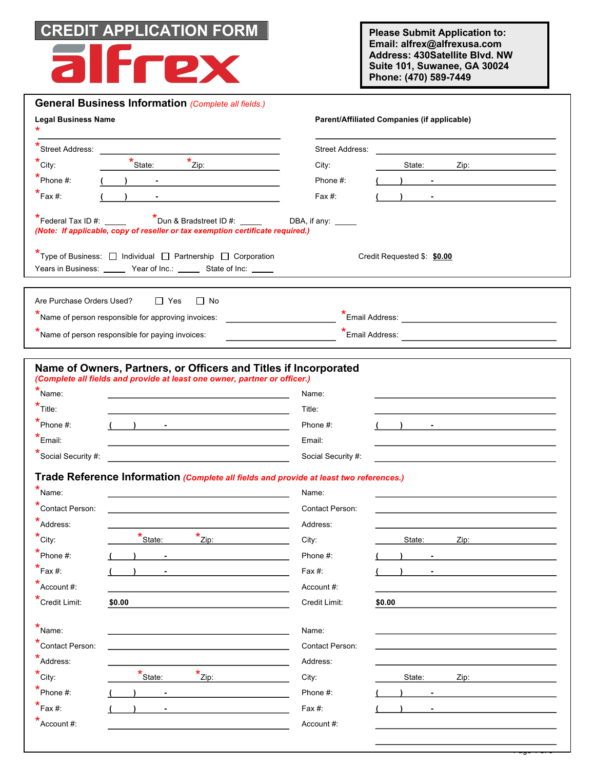

**Please Submit Application to: Email: alfrex@alfrexusa.com Address: 430Satellite Blvd. NW Suite 101, Suwanee, GA 30024 Phone: (470) 589-7449**

| <b>Legal Business Name</b>                                                                                                                                                                                       |                                                                                                                                                                                                                                                                                              | Parent/Affiliated Companies (if applicable)                                                                          |  |  |  |  |
|------------------------------------------------------------------------------------------------------------------------------------------------------------------------------------------------------------------|----------------------------------------------------------------------------------------------------------------------------------------------------------------------------------------------------------------------------------------------------------------------------------------------|----------------------------------------------------------------------------------------------------------------------|--|--|--|--|
| Street Address:                                                                                                                                                                                                  |                                                                                                                                                                                                                                                                                              | <b>Street Address:</b>                                                                                               |  |  |  |  |
| $^{\star}$ City:                                                                                                                                                                                                 | $x$ $\frac{1}{2i}$ $\frac{1}{2i}$<br>$\star$ State:                                                                                                                                                                                                                                          | City:<br>State:                                                                                                      |  |  |  |  |
| $*$ Phone #:                                                                                                                                                                                                     | $\overline{\phantom{a}}$<br><u> 1989 - Jan Stein Stein Stein Stein Stein Stein Stein Stein Stein Stein Stein Stein Stein Stein Stein Stein S</u>                                                                                                                                             | Phone #:<br>$\mathbf{y}$ and $\mathbf{y}$ are the set of $\mathbf{y}$ and $\mathbf{y}$ are the set of $\mathbf{y}$   |  |  |  |  |
| $^{\star}$ Fax #:                                                                                                                                                                                                | <u> 1980 - Jan Barbara Barbara, maso a popular establecidad e a la provincia de la provincia de la provincia de</u>                                                                                                                                                                          | Fax $#$ :<br>) and the contract of the contract of $\overline{\phantom{a}}$                                          |  |  |  |  |
| $\overline{\phantom{a}}$ Federal Tax ID #: $\_\_\_\_\_\_\_\_\_\_\_\_\$                                                                                                                                           | $*$ Dun & Bradstreet ID #: $\frac{1}{1}$<br>(Note: If applicable, copy of reseller or tax exemption certificate required.)                                                                                                                                                                   | DBA, if any:                                                                                                         |  |  |  |  |
|                                                                                                                                                                                                                  | $\star$ Type of Business: $\Box$ Individual $\Box$ Partnership $\Box$ Corporation<br>Years in Business: _______ Year of Inc.: _______ State of Inc: ______                                                                                                                                   | Credit Requested \$: \$0.00<br><u> 1980 - John Stein, Amerikaansk politiker (* 1900)</u>                             |  |  |  |  |
| Are Purchase Orders Used?                                                                                                                                                                                        | $\Box$ Yes<br>$\Box$ No                                                                                                                                                                                                                                                                      |                                                                                                                      |  |  |  |  |
|                                                                                                                                                                                                                  | Name of person responsible for approving invoices:                                                                                                                                                                                                                                           |                                                                                                                      |  |  |  |  |
|                                                                                                                                                                                                                  | Name of person responsible for paying invoices:                                                                                                                                                                                                                                              |                                                                                                                      |  |  |  |  |
|                                                                                                                                                                                                                  |                                                                                                                                                                                                                                                                                              |                                                                                                                      |  |  |  |  |
|                                                                                                                                                                                                                  | (Complete all fields and provide at least one owner, partner or officer.)                                                                                                                                                                                                                    |                                                                                                                      |  |  |  |  |
|                                                                                                                                                                                                                  | $($ ) <u>- </u><br><u> 1980 - Johann Barn, mars ann an t-Amhain Aonaich an t-Aonaich an t-Aonaich ann an t-Aonaich ann an t-Aonaich</u><br>Trade Reference Information (Complete all fields and provide at least two references.)<br><u> 1989 - Johann Barnett, fransk politik (d. 1989)</u> | Name:<br>Title:<br>Phone #:<br>The control of the control of the control of<br>Email:<br>Social Security #:<br>Name: |  |  |  |  |
|                                                                                                                                                                                                                  |                                                                                                                                                                                                                                                                                              | <b>Contact Person:</b>                                                                                               |  |  |  |  |
| Address:                                                                                                                                                                                                         |                                                                                                                                                                                                                                                                                              | Address:                                                                                                             |  |  |  |  |
| City:                                                                                                                                                                                                            | <b>Contract Contract Contract</b><br>*State:<br>$z_{\text{ip}:}$                                                                                                                                                                                                                             | City:<br>State:<br>Zip:                                                                                              |  |  |  |  |
|                                                                                                                                                                                                                  | $\blacksquare$                                                                                                                                                                                                                                                                               | Phone #:                                                                                                             |  |  |  |  |
|                                                                                                                                                                                                                  |                                                                                                                                                                                                                                                                                              | Fax #:                                                                                                               |  |  |  |  |
|                                                                                                                                                                                                                  |                                                                                                                                                                                                                                                                                              | Account #:                                                                                                           |  |  |  |  |
|                                                                                                                                                                                                                  | \$0.00                                                                                                                                                                                                                                                                                       | Credit Limit:<br>\$0.00                                                                                              |  |  |  |  |
|                                                                                                                                                                                                                  |                                                                                                                                                                                                                                                                                              | Name:                                                                                                                |  |  |  |  |
| Contact Person:                                                                                                                                                                                                  |                                                                                                                                                                                                                                                                                              | Contact Person:                                                                                                      |  |  |  |  |
| $*$ Name:<br>$*$ Title:<br>$\sum_{n=1}^{\infty} P_{n}$<br>$*_{Email:}$<br>Social Security #:<br>$*$ Name:<br>Contact Person:<br>$*$ Phone #:<br>$\star$ Fax #:<br>$*$ Account #:<br>Credit Limit:<br>$*_{Name:}$ |                                                                                                                                                                                                                                                                                              | Address:                                                                                                             |  |  |  |  |
|                                                                                                                                                                                                                  |                                                                                                                                                                                                                                                                                              | City:<br>State:<br>Zip:                                                                                              |  |  |  |  |
| $*$ Address:<br>$^*$ City:<br>Phone #:                                                                                                                                                                           | $x$ <sub>Zip:</sub><br>$\star$ State:                                                                                                                                                                                                                                                        | Phone #:                                                                                                             |  |  |  |  |
| $\star$ Fax #:                                                                                                                                                                                                   |                                                                                                                                                                                                                                                                                              | Fax #:<br>$\blacksquare$                                                                                             |  |  |  |  |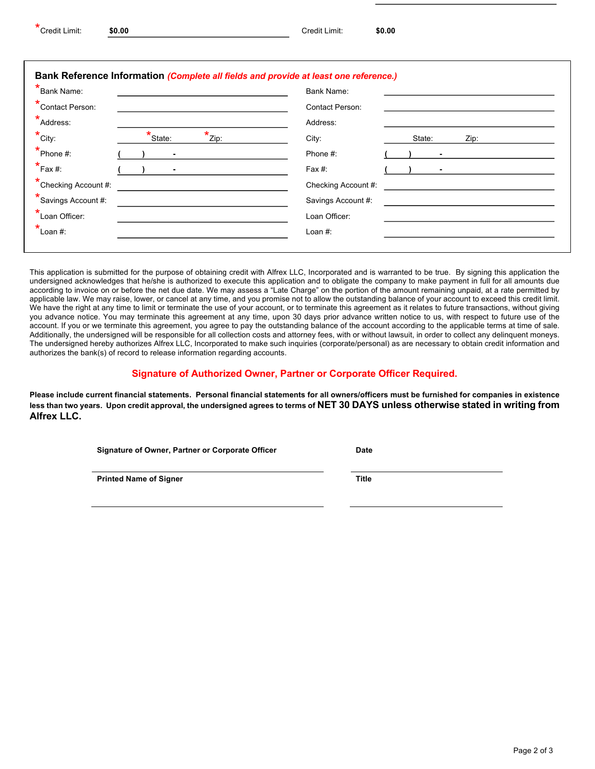| *<br>Credit Limit: | \$0.00 | Credit Limit: | \$0.00 |
|--------------------|--------|---------------|--------|
|                    |        |               |        |

| <b>*</b> Bank Name:                                    | <b>Bank Name:</b>       |
|--------------------------------------------------------|-------------------------|
| *Contact Person:                                       | <b>Contact Person:</b>  |
| *Address:                                              | Address:                |
| $*$ State:<br>$*_{\text{Zip: }}$<br>$*_{\text{City}:}$ | City:<br>State:<br>Zip: |
| $*$ Phone #:                                           | Phone #:                |
| $*_{\mathsf{Fax}\,\#:}$                                | Fax #:                  |
| *Checking Account #:                                   | Checking Account #:     |
| *Savings Account #:                                    | Savings Account #:      |
| *Loan Officer:                                         | Loan Officer:           |
| $*_{\text{Lean }\#:}$                                  | Loan #:                 |

This application is submitted for the purpose of obtaining credit with Alfrex LLC, Incorporated and is warranted to be true. By signing this application the undersigned acknowledges that he/she is authorized to execute this application and to obligate the company to make payment in full for all amounts due according to invoice on or before the net due date. We may assess a "Late Charge" on the portion of the amount remaining unpaid, at a rate permitted by applicable law. We may raise, lower, or cancel at any time, and you promise not to allow the outstanding balance of your account to exceed this credit limit. We have the right at any time to limit or terminate the use of your account, or to terminate this agreement as it relates to future transactions, without giving you advance notice. You may terminate this agreement at any time, upon 30 days prior advance written notice to us, with respect to future use of the account. If you or we terminate this agreement, you agree to pay the outstanding balance of the account according to the applicable terms at time of sale. Additionally, the undersigned will be responsible for all collection costs and attorney fees, with or without lawsuit, in order to collect any delinquent moneys. The undersigned hereby authorizes Alfrex LLC, Incorporated to make such inquiries (corporate/personal) as are necessary to obtain credit information and authorizes the bank(s) of record to release information regarding accounts.

## **Signature of Authorized Owner, Partner or Corporate Officer Required.**

**Please include current financial statements. Personal financial statements for all owners/officers must be furnished for companies in existence less than two years. Upon credit approval, the undersigned agrees to terms of NET 30 DAYS unless otherwise stated in writing from Alfrex LLC.**

**Signature of Owner, Partner or Corporate Officer Date**

**Printed Name of Signer Title**